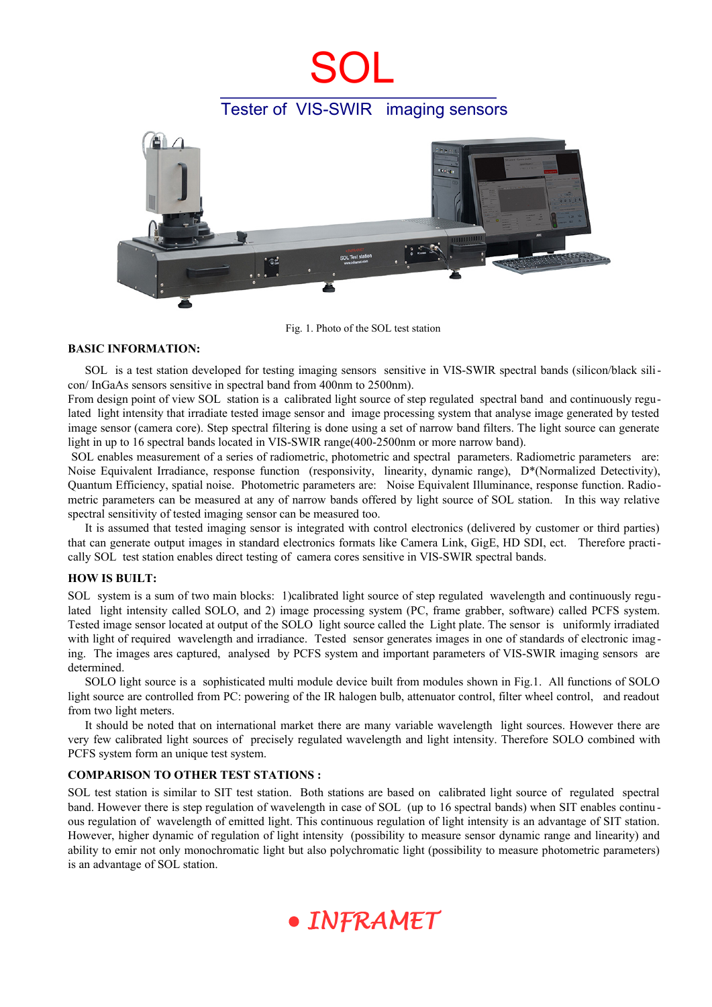# SOL

## Tester of VIS-SWIR imaging sensors



Fig. 1. Photo of the SOL test station

### **BASIC INFORMATION:**

SOL is a test station developed for testing imaging sensors sensitive in VIS-SWIR spectral bands (silicon/black silicon/ InGaAs sensors sensitive in spectral band from 400nm to 2500nm).

From design point of view SOL station is a calibrated light source of step regulated spectral band and continuously regulated light intensity that irradiate tested image sensor and image processing system that analyse image generated by tested image sensor (camera core). Step spectral filtering is done using a set of narrow band filters. The light source can generate light in up to 16 spectral bands located in VIS-SWIR range(400-2500nm or more narrow band).

 SOL enables measurement of a series of radiometric, photometric and spectral parameters. Radiometric parameters are: Noise Equivalent Irradiance, response function (responsivity, linearity, dynamic range), D\*(Normalized Detectivity), Quantum Efficiency, spatial noise. Photometric parameters are: Noise Equivalent Illuminance, response function. Radiometric parameters can be measured at any of narrow bands offered by light source of SOL station. In this way relative spectral sensitivity of tested imaging sensor can be measured too.

It is assumed that tested imaging sensor is integrated with control electronics (delivered by customer or third parties) that can generate output images in standard electronics formats like Camera Link, GigE, HD SDI, ect. Therefore practically SOL test station enables direct testing of camera cores sensitive in VIS-SWIR spectral bands.

### **HOW IS BUILT:**

SOL system is a sum of two main blocks: 1)calibrated light source of step regulated wavelength and continuously regulated light intensity called SOLO, and 2) image processing system (PC, frame grabber, software) called PCFS system. Tested image sensor located at output of the SOLO light source called the Light plate. The sensor is uniformly irradiated with light of required wavelength and irradiance. Tested sensor generates images in one of standards of electronic imaging. The images ares captured, analysed by PCFS system and important parameters of VIS-SWIR imaging sensors are determined.

SOLO light source is a sophisticated multi module device built from modules shown in Fig.1. All functions of SOLO light source are controlled from PC: powering of the IR halogen bulb, attenuator control, filter wheel control, and readout from two light meters.

It should be noted that on international market there are many variable wavelength light sources. However there are very few calibrated light sources of precisely regulated wavelength and light intensity. Therefore SOLO combined with PCFS system form an unique test system.

### **COMPARISON TO OTHER TEST STATIONS :**

SOL test station is similar to SIT test station. Both stations are based on calibrated light source of regulated spectral band. However there is step regulation of wavelength in case of SOL (up to 16 spectral bands) when SIT enables continu ous regulation of wavelength of emitted light. This continuous regulation of light intensity is an advantage of SIT station. However, higher dynamic of regulation of light intensity (possibility to measure sensor dynamic range and linearity) and ability to emir not only monochromatic light but also polychromatic light (possibility to measure photometric parameters) is an advantage of SOL station.

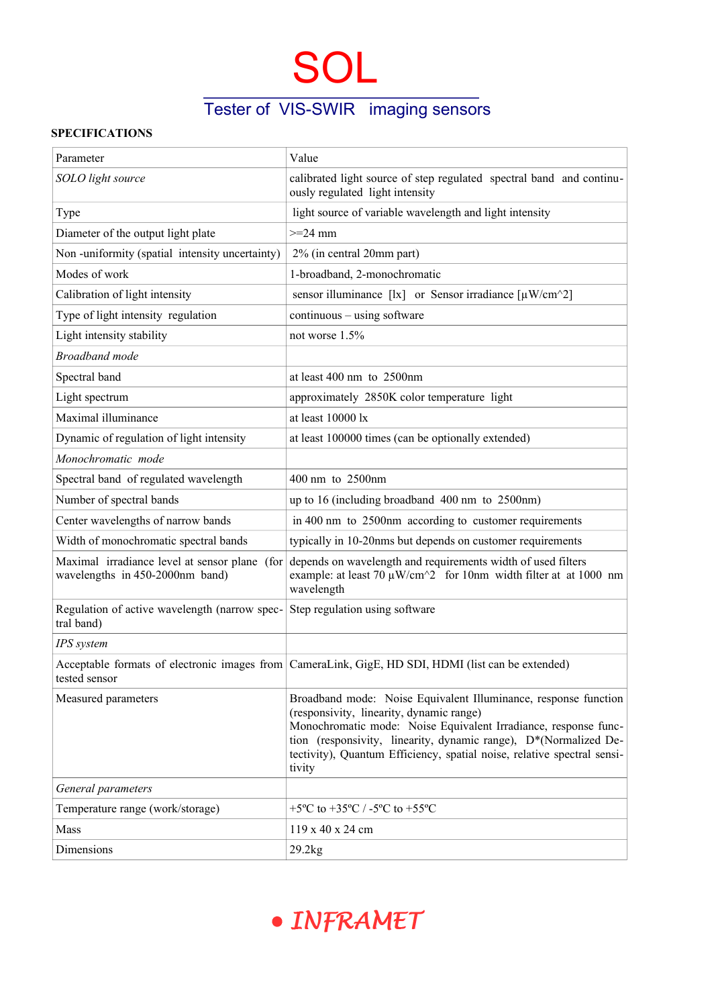# SOL

## Tester of VIS-SWIR imaging sensors

## **SPECIFICATIONS**

| Parameter                                                                        | Value                                                                                                                                                                                                                                                                                                                                   |
|----------------------------------------------------------------------------------|-----------------------------------------------------------------------------------------------------------------------------------------------------------------------------------------------------------------------------------------------------------------------------------------------------------------------------------------|
| SOLO light source                                                                | calibrated light source of step regulated spectral band and continu-<br>ously regulated light intensity                                                                                                                                                                                                                                 |
| Type                                                                             | light source of variable wavelength and light intensity                                                                                                                                                                                                                                                                                 |
| Diameter of the output light plate                                               | $>=$ 24 mm                                                                                                                                                                                                                                                                                                                              |
| Non-uniformity (spatial intensity uncertainty)                                   | 2% (in central 20mm part)                                                                                                                                                                                                                                                                                                               |
| Modes of work                                                                    | 1-broadband, 2-monochromatic                                                                                                                                                                                                                                                                                                            |
| Calibration of light intensity                                                   | sensor illuminance [lx] or Sensor irradiance $\lceil \mu W/cm^2 \rceil$                                                                                                                                                                                                                                                                 |
| Type of light intensity regulation                                               | continuous - using software                                                                                                                                                                                                                                                                                                             |
| Light intensity stability                                                        | not worse 1.5%                                                                                                                                                                                                                                                                                                                          |
| <b>Broadband</b> mode                                                            |                                                                                                                                                                                                                                                                                                                                         |
| Spectral band                                                                    | at least 400 nm to 2500nm                                                                                                                                                                                                                                                                                                               |
| Light spectrum                                                                   | approximately 2850K color temperature light                                                                                                                                                                                                                                                                                             |
| Maximal illuminance                                                              | at least 10000 lx                                                                                                                                                                                                                                                                                                                       |
| Dynamic of regulation of light intensity                                         | at least 100000 times (can be optionally extended)                                                                                                                                                                                                                                                                                      |
| Monochromatic mode                                                               |                                                                                                                                                                                                                                                                                                                                         |
| Spectral band of regulated wavelength                                            | 400 nm to 2500nm                                                                                                                                                                                                                                                                                                                        |
| Number of spectral bands                                                         | up to 16 (including broadband 400 nm to 2500nm)                                                                                                                                                                                                                                                                                         |
| Center wavelengths of narrow bands                                               | in 400 nm to 2500nm according to customer requirements                                                                                                                                                                                                                                                                                  |
| Width of monochromatic spectral bands                                            | typically in 10-20nms but depends on customer requirements                                                                                                                                                                                                                                                                              |
| Maximal irradiance level at sensor plane (for<br>wavelengths in 450-2000nm band) | depends on wavelength and requirements width of used filters<br>example: at least 70 $\mu$ W/cm^2 for 10nm width filter at at 1000 nm<br>wavelength                                                                                                                                                                                     |
| Regulation of active wavelength (narrow spec-<br>tral band)                      | Step regulation using software                                                                                                                                                                                                                                                                                                          |
| IPS system                                                                       |                                                                                                                                                                                                                                                                                                                                         |
| tested sensor                                                                    | Acceptable formats of electronic images from CameraLink, GigE, HD SDI, HDMI (list can be extended)                                                                                                                                                                                                                                      |
| Measured parameters                                                              | Broadband mode: Noise Equivalent Illuminance, response function<br>(responsivity, linearity, dynamic range)<br>Monochromatic mode: Noise Equivalent Irradiance, response func-<br>tion (responsivity, linearity, dynamic range), D*(Normalized De-<br>tectivity), Quantum Efficiency, spatial noise, relative spectral sensi-<br>tivity |
| General parameters                                                               |                                                                                                                                                                                                                                                                                                                                         |
| Temperature range (work/storage)                                                 | +5°C to +35°C / -5°C to +55°C                                                                                                                                                                                                                                                                                                           |
| Mass                                                                             | 119 x 40 x 24 cm                                                                                                                                                                                                                                                                                                                        |
| Dimensions                                                                       | 29.2kg                                                                                                                                                                                                                                                                                                                                  |